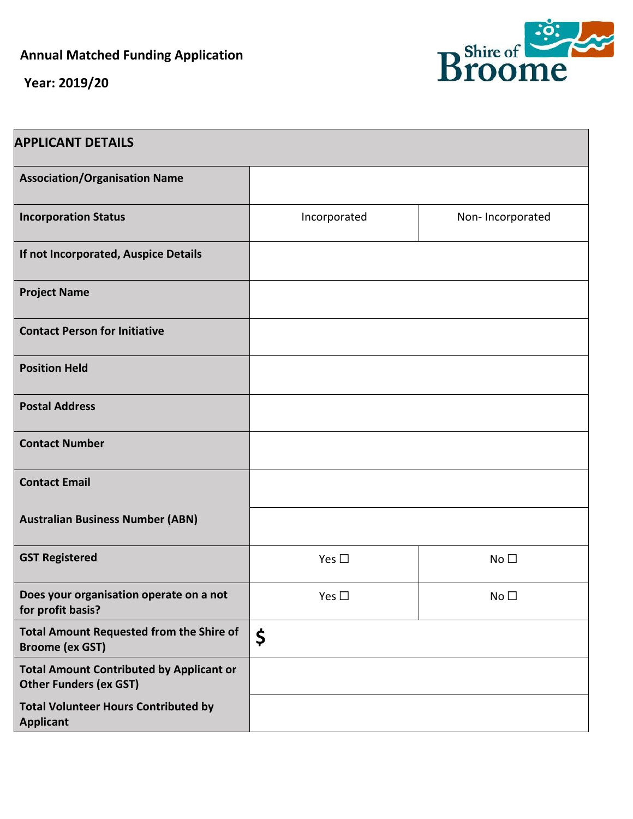**Annual Matched Funding Application** 

**Year: 2019/20**



| <b>APPLICANT DETAILS</b>                                                         |               |                  |
|----------------------------------------------------------------------------------|---------------|------------------|
| <b>Association/Organisation Name</b>                                             |               |                  |
| <b>Incorporation Status</b>                                                      | Incorporated  | Non-Incorporated |
| If not Incorporated, Auspice Details                                             |               |                  |
| <b>Project Name</b>                                                              |               |                  |
| <b>Contact Person for Initiative</b>                                             |               |                  |
| <b>Position Held</b>                                                             |               |                  |
| <b>Postal Address</b>                                                            |               |                  |
| <b>Contact Number</b>                                                            |               |                  |
| <b>Contact Email</b>                                                             |               |                  |
| <b>Australian Business Number (ABN)</b>                                          |               |                  |
| <b>GST Registered</b>                                                            | Yes $\square$ | No <sub>1</sub>  |
| Does your organisation operate on a not<br>for profit basis?                     | Yes $\square$ | No <sub>1</sub>  |
| <b>Total Amount Requested from the Shire of</b><br><b>Broome (ex GST)</b>        | \$            |                  |
| <b>Total Amount Contributed by Applicant or</b><br><b>Other Funders (ex GST)</b> |               |                  |
| <b>Total Volunteer Hours Contributed by</b><br><b>Applicant</b>                  |               |                  |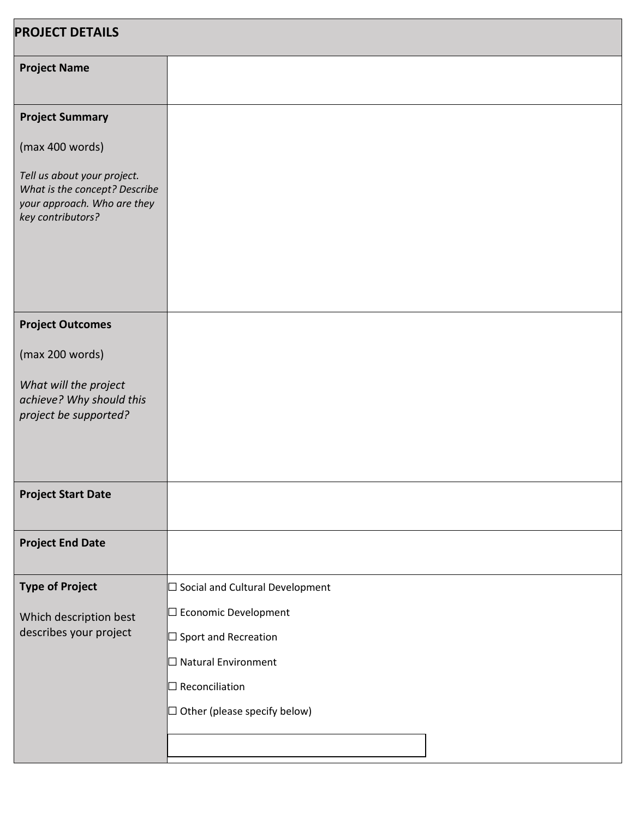| <b>PROJECT DETAILS</b>                                                                                           |                                        |  |
|------------------------------------------------------------------------------------------------------------------|----------------------------------------|--|
| <b>Project Name</b>                                                                                              |                                        |  |
| <b>Project Summary</b>                                                                                           |                                        |  |
| (max 400 words)                                                                                                  |                                        |  |
| Tell us about your project.<br>What is the concept? Describe<br>your approach. Who are they<br>key contributors? |                                        |  |
|                                                                                                                  |                                        |  |
| <b>Project Outcomes</b>                                                                                          |                                        |  |
| (max 200 words)                                                                                                  |                                        |  |
| What will the project<br>achieve? Why should this<br>project be supported?                                       |                                        |  |
| <b>Project Start Date</b>                                                                                        |                                        |  |
| <b>Project End Date</b>                                                                                          |                                        |  |
| <b>Type of Project</b>                                                                                           | $\Box$ Social and Cultural Development |  |
| Which description best<br>describes your project                                                                 | □ Economic Development                 |  |
|                                                                                                                  | $\Box$ Sport and Recreation            |  |
|                                                                                                                  | $\Box$ Natural Environment             |  |
|                                                                                                                  | $\Box$ Reconciliation                  |  |
|                                                                                                                  | $\Box$ Other (please specify below)    |  |
|                                                                                                                  |                                        |  |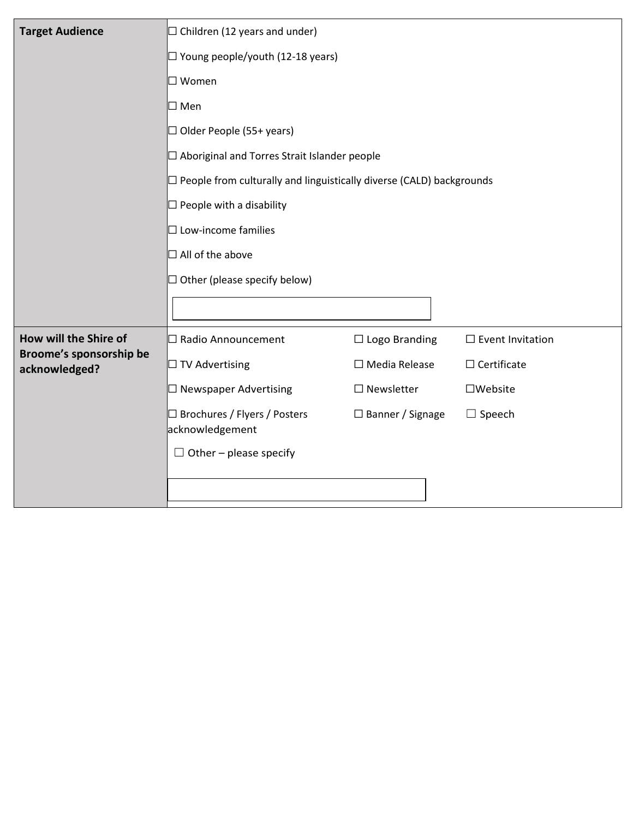| <b>Target Audience</b>                   | $\Box$ Children (12 years and under)<br>$\Box$ Young people/youth (12-18 years)                                            |                         |                            |  |
|------------------------------------------|----------------------------------------------------------------------------------------------------------------------------|-------------------------|----------------------------|--|
|                                          |                                                                                                                            |                         |                            |  |
|                                          | $\square$ Women<br>$\square$ Men<br>$\Box$ Older People (55+ years)<br>$\Box$ Aboriginal and Torres Strait Islander people |                         |                            |  |
|                                          |                                                                                                                            |                         |                            |  |
|                                          |                                                                                                                            |                         |                            |  |
|                                          |                                                                                                                            |                         |                            |  |
|                                          | $\Box$ People from culturally and linguistically diverse (CALD) backgrounds                                                |                         |                            |  |
|                                          | $\Box$ People with a disability                                                                                            |                         |                            |  |
|                                          | $\Box$ Low-income families                                                                                                 |                         |                            |  |
|                                          | $\Box$ All of the above                                                                                                    |                         |                            |  |
|                                          | $\Box$ Other (please specify below)                                                                                        |                         |                            |  |
|                                          |                                                                                                                            |                         |                            |  |
|                                          |                                                                                                                            |                         |                            |  |
| How will the Shire of                    | □ Radio Announcement                                                                                                       | $\Box$ Logo Branding    | $\square$ Event Invitation |  |
| Broome's sponsorship be<br>acknowledged? | $\Box$ TV Advertising                                                                                                      | $\Box$ Media Release    | $\Box$ Certificate         |  |
|                                          | $\Box$ Newspaper Advertising                                                                                               | $\Box$ Newsletter       | $\square$ Website          |  |
|                                          | □ Brochures / Flyers / Posters                                                                                             | $\Box$ Banner / Signage | $\square$ Speech           |  |
|                                          | acknowledgement                                                                                                            |                         |                            |  |
|                                          | $\Box$ Other – please specify                                                                                              |                         |                            |  |
|                                          |                                                                                                                            |                         |                            |  |
|                                          |                                                                                                                            |                         |                            |  |
|                                          |                                                                                                                            |                         |                            |  |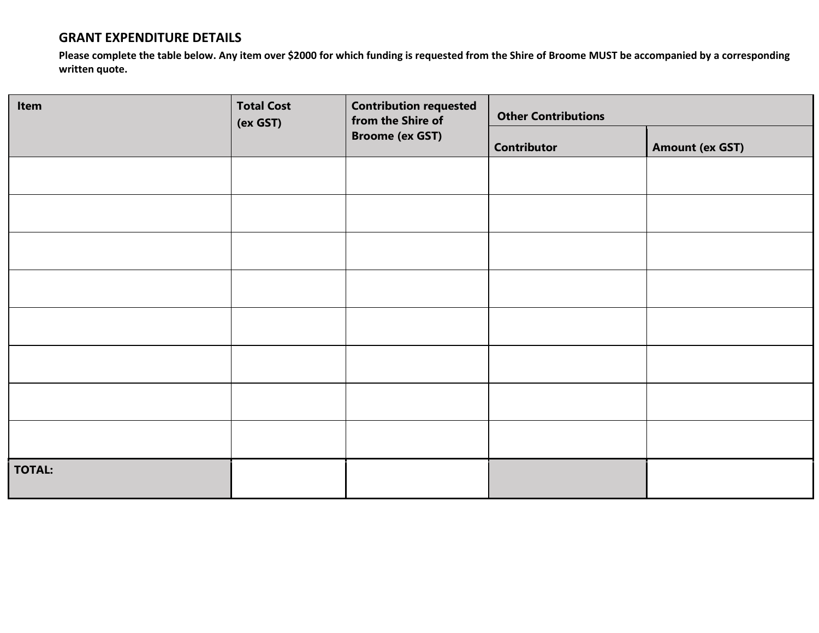## **GRANT EXPENDITURE DETAILS**

**Please complete the table below. Any item over \$2000 for which funding is requested from the Shire of Broome MUST be accompanied by a corresponding written quote.** 

| Item          | <b>Total Cost</b><br>(ex GST) | <b>Contribution requested</b><br>from the Shire of<br><b>Broome (ex GST)</b> | <b>Other Contributions</b> |                        |
|---------------|-------------------------------|------------------------------------------------------------------------------|----------------------------|------------------------|
|               |                               |                                                                              | <b>Contributor</b>         | <b>Amount (ex GST)</b> |
|               |                               |                                                                              |                            |                        |
|               |                               |                                                                              |                            |                        |
|               |                               |                                                                              |                            |                        |
|               |                               |                                                                              |                            |                        |
|               |                               |                                                                              |                            |                        |
|               |                               |                                                                              |                            |                        |
|               |                               |                                                                              |                            |                        |
|               |                               |                                                                              |                            |                        |
| <b>TOTAL:</b> |                               |                                                                              |                            |                        |